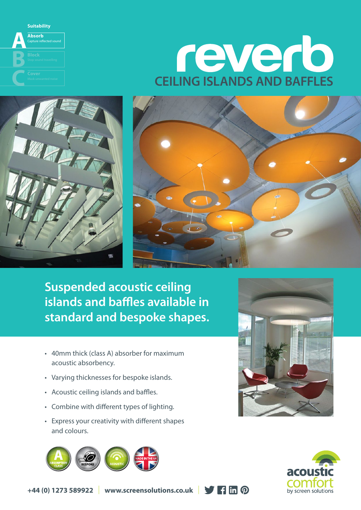



**Suspended acoustic ceiling islands and baffles available in standard and bespoke shapes.**

• 40mm thick (class A) absorber for maximum acoustic absorbency.

W

- Varying thicknesses for bespoke islands.
- Acoustic ceiling islands and baffles.

**Suitability Absorb** Capture reflected sound

WARTEN

**B**

**A**

- Combine with different types of lighting.
- Express your creativity with different shapes and colours.







**+44 (0) 1273 589922** | **www.screensolutions.co.uk** |